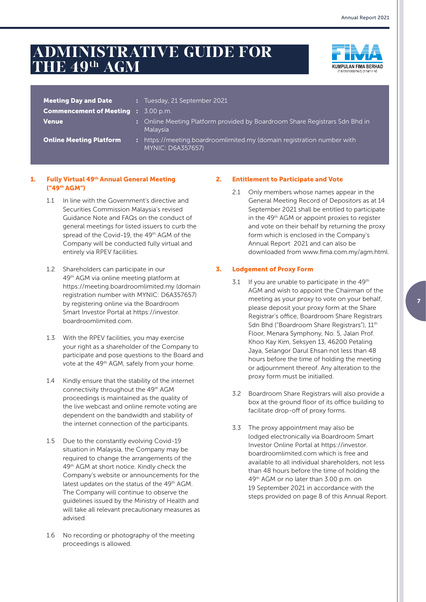# **ADMINISTRATIVE GUIDE FOR THE 49th AGM**



| <b>Meeting Day and Date</b>                | : Tuesday, 21 September 2021                                                                   |
|--------------------------------------------|------------------------------------------------------------------------------------------------|
| <b>Commencement of Meeting : 3.00 p.m.</b> |                                                                                                |
| <b>Venue</b>                               | : Online Meeting Platform provided by Boardroom Share Registrars Sdn Bhd in<br><b>Malaysia</b> |

**Online Meeting Platform :** https://meeting.boardroomlimited.my (domain registration number with MYNIC: D6A357657)

### 1. Fully Virtual 49<sup>th</sup> Annual General Meeting ("49th AGM")

- 1.1 In line with the Government's directive and Securities Commission Malaysia's revised Guidance Note and FAQs on the conduct of general meetings for listed issuers to curb the spread of the Covid-19, the 49<sup>th</sup> AGM of the Company will be conducted fully virtual and entirely via RPEV facilities.
- 1.2 Shareholders can participate in our 49th AGM via online meeting platform at https://meeting.boardroomlimited.my (domain registration number with MYNIC: D6A357657) by registering online via the Boardroom Smart Investor Portal at https://investor. boardroomlimited.com.
- 1.3 With the RPEV facilities, you may exercise your right as a shareholder of the Company to participate and pose questions to the Board and vote at the 49<sup>th</sup> AGM, safely from your home.
- 1.4 Kindly ensure that the stability of the internet connectivity throughout the 49<sup>th</sup> AGM proceedings is maintained as the quality of the live webcast and online remote voting are dependent on the bandwidth and stability of the internet connection of the participants.
- 1.5 Due to the constantly evolving Covid-19 situation in Malaysia, the Company may be required to change the arrangements of the 49th AGM at short notice. Kindly check the Company's website or announcements for the latest updates on the status of the 49<sup>th</sup> AGM. The Company will continue to observe the guidelines issued by the Ministry of Health and will take all relevant precautionary measures as advised.
- 1.6 No recording or photography of the meeting proceedings is allowed.

# 2. Entitlement to Participate and Vote

2.1 Only members whose names appear in the General Meeting Record of Depositors as at 14 September 2021 shall be entitled to participate in the 49<sup>th</sup> AGM or appoint proxies to register and vote on their behalf by returning the proxy form which is enclosed in the Company's Annual Report 2021 and can also be downloaded from www.fima.com.my/agm.html.

#### 3. Lodgement of Proxy Form

- 3.1 If you are unable to participate in the  $49<sup>th</sup>$ AGM and wish to appoint the Chairman of the meeting as your proxy to vote on your behalf, please deposit your proxy form at the Share Registrar's office, Boardroom Share Registrars Sdn Bhd ("Boardroom Share Registrars"), 11<sup>th</sup> Floor, Menara Symphony, No. 5, Jalan Prof. Khoo Kay Kim, Seksyen 13, 46200 Petaling Jaya, Selangor Darul Ehsan not less than 48 hours before the time of holding the meeting or adjournment thereof. Any alteration to the proxy form must be initialled.
- 3.2 Boardroom Share Registrars will also provide a box at the ground floor of its office building to facilitate drop-off of proxy forms.
- 3.3 The proxy appointment may also be lodged electronically via Boardroom Smart Investor Online Portal at https://investor. boardroomlimited.com which is free and available to all individual shareholders, not less than 48 hours before the time of holding the 49th AGM or no later than 3.00 p.m. on 19 September 2021 in accordance with the steps provided on page 8 of this Annual Report.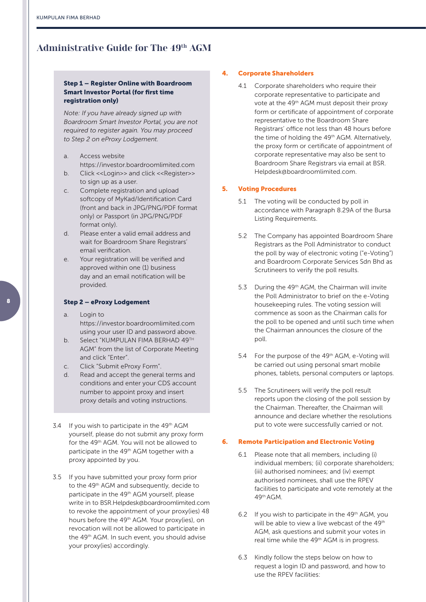# **Administrative Guide for The 49th AGM**

### Step 1 – Register Online with Boardroom Smart Investor Portal (for first time registration only)

*Note: If you have already signed up with Boardroom Smart Investor Portal, you are not required to register again. You may proceed to Step 2 on eProxy Lodgement.*

- a. Access website https://investor.boardroomlimited.com
- b. Click <<Login>> and click <<Register>> to sign up as a user.
- c. Complete registration and upload softcopy of MyKad/Identification Card (front and back in JPG/PNG/PDF format only) or Passport (in JPG/PNG/PDF format only).
- d. Please enter a valid email address and wait for Boardroom Share Registrars' email verification.
- e. Your registration will be verified and approved within one (1) business day and an email notification will be provided.

## Step 2 – eProxy Lodgement

- a. Login to https://investor.boardroomlimited.com using your user ID and password above.
- b. Select "KUMPULAN FIMA BERHAD 49TH AGM" from the list of Corporate Meeting and click "Enter".
- c. Click "Submit eProxy Form".
- d. Read and accept the general terms and conditions and enter your CDS account number to appoint proxy and insert proxy details and voting instructions.
- 3.4 If you wish to participate in the 49<sup>th</sup> AGM yourself, please do not submit any proxy form for the 49th AGM. You will not be allowed to participate in the 49<sup>th</sup> AGM together with a proxy appointed by you.
- 3.5 If you have submitted your proxy form prior to the 49<sup>th</sup> AGM and subsequently, decide to participate in the 49<sup>th</sup> AGM yourself, please write in to BSR.Helpdesk@boardroomlimited.com to revoke the appointment of your proxy(ies) 48 hours before the 49<sup>th</sup> AGM. Your proxy(ies), on revocation will not be allowed to participate in the 49th AGM. In such event, you should advise your proxy(ies) accordingly.

#### 4. Corporate Shareholders

4.1 Corporate shareholders who require their corporate representative to participate and vote at the 49<sup>th</sup> AGM must deposit their proxy form or certificate of appointment of corporate representative to the Boardroom Share Registrars' office not less than 48 hours before the time of holding the 49<sup>th</sup> AGM. Alternatively, the proxy form or certificate of appointment of corporate representative may also be sent to Boardroom Share Registrars via email at BSR. Helpdesk@boardroomlimited.com.

#### 5. Voting Procedures

- 5.1 The voting will be conducted by poll in accordance with Paragraph 8.29A of the Bursa Listing Requirements.
- 5.2 The Company has appointed Boardroom Share Registrars as the Poll Administrator to conduct the poll by way of electronic voting ("e-Voting") and Boardroom Corporate Services Sdn Bhd as Scrutineers to verify the poll results.
- 5.3 During the 49th AGM, the Chairman will invite the Poll Administrator to brief on the e-Voting housekeeping rules. The voting session will commence as soon as the Chairman calls for the poll to be opened and until such time when the Chairman announces the closure of the poll.
- 5.4 For the purpose of the 49<sup>th</sup> AGM, e-Voting will be carried out using personal smart mobile phones, tablets, personal computers or laptops.
- 5.5 The Scrutineers will verify the poll result reports upon the closing of the poll session by the Chairman. Thereafter, the Chairman will announce and declare whether the resolutions put to vote were successfully carried or not.

#### 6. Remote Participation and Electronic Voting

- 6.1 Please note that all members, including (i) individual members; (ii) corporate shareholders; (iii) authorised nominees; and (iv) exempt authorised nominees, shall use the RPEV facilities to participate and vote remotely at the 49th AGM.
- 6.2 If you wish to participate in the  $49<sup>th</sup>$  AGM, you will be able to view a live webcast of the 49<sup>th</sup> AGM, ask questions and submit your votes in real time while the 49<sup>th</sup> AGM is in progress.
- 6.3 Kindly follow the steps below on how to request a login ID and password, and how to use the RPEV facilities: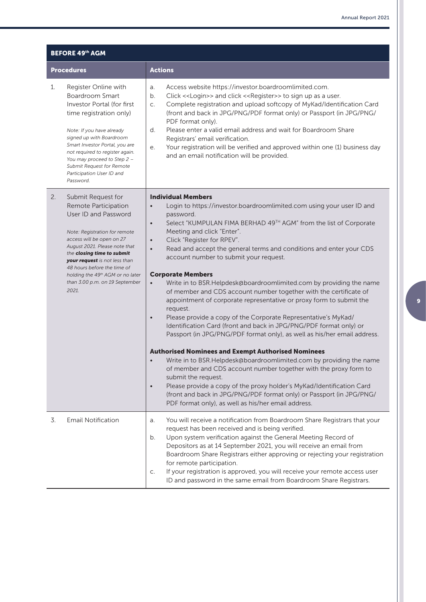| <b>BEFORE 49th AGM</b> |                                                                                                                                                                                                                                                                                                                                                |                                                                                                                                                                                                                                                                                                                                                                                                                                                                                                                                                                                                                                                                                                                                                                                                                                                                                                                                                                                                                                                                                                                                                                                                                                                                                                                                                          |  |  |
|------------------------|------------------------------------------------------------------------------------------------------------------------------------------------------------------------------------------------------------------------------------------------------------------------------------------------------------------------------------------------|----------------------------------------------------------------------------------------------------------------------------------------------------------------------------------------------------------------------------------------------------------------------------------------------------------------------------------------------------------------------------------------------------------------------------------------------------------------------------------------------------------------------------------------------------------------------------------------------------------------------------------------------------------------------------------------------------------------------------------------------------------------------------------------------------------------------------------------------------------------------------------------------------------------------------------------------------------------------------------------------------------------------------------------------------------------------------------------------------------------------------------------------------------------------------------------------------------------------------------------------------------------------------------------------------------------------------------------------------------|--|--|
|                        | <b>Procedures</b>                                                                                                                                                                                                                                                                                                                              | <b>Actions</b>                                                                                                                                                                                                                                                                                                                                                                                                                                                                                                                                                                                                                                                                                                                                                                                                                                                                                                                                                                                                                                                                                                                                                                                                                                                                                                                                           |  |  |
| 1.                     | Register Online with<br><b>Boardroom Smart</b><br>Investor Portal (for first<br>time registration only)<br>Note: If you have already<br>signed up with Boardroom<br>Smart Investor Portal, you are<br>not required to register again.<br>You may proceed to Step 2 -<br>Submit Request for Remote<br>Participation User ID and<br>Password.    | Access website https://investor.boardroomlimited.com.<br>a.<br>Click << Login>> and click << Register>> to sign up as a user.<br>b.<br>Complete registration and upload softcopy of MyKad/Identification Card<br>$C_{\cdot}$<br>(front and back in JPG/PNG/PDF format only) or Passport (in JPG/PNG/<br>PDF format only).<br>Please enter a valid email address and wait for Boardroom Share<br>d.<br>Registrars' email verification.<br>Your registration will be verified and approved within one (1) business day<br>е.<br>and an email notification will be provided.                                                                                                                                                                                                                                                                                                                                                                                                                                                                                                                                                                                                                                                                                                                                                                                |  |  |
| 2.                     | Submit Request for<br>Remote Participation<br>User ID and Password<br>Note: Registration for remote<br>access will be open on 27<br>August 2021. Please note that<br>the closing time to submit<br>your request is not less than<br>48 hours before the time of<br>holding the 49th AGM or no later<br>than 3.00 p.m. on 19 September<br>2021. | <b>Individual Members</b><br>Login to https://investor.boardroomlimited.com using your user ID and<br>password.<br>Select "KUMPULAN FIMA BERHAD 49TH AGM" from the list of Corporate<br>$\bullet$<br>Meeting and click "Enter".<br>Click "Register for RPEV".<br>$\bullet$<br>Read and accept the general terms and conditions and enter your CDS<br>$\bullet$<br>account number to submit your request.<br><b>Corporate Members</b><br>Write in to BSR.Helpdesk@boardroomlimited.com by providing the name<br>$\bullet$<br>of member and CDS account number together with the certificate of<br>appointment of corporate representative or proxy form to submit the<br>request.<br>Please provide a copy of the Corporate Representative's MyKad/<br>$\bullet$<br>Identification Card (front and back in JPG/PNG/PDF format only) or<br>Passport (in JPG/PNG/PDF format only), as well as his/her email address.<br><b>Authorised Nominees and Exempt Authorised Nominees</b><br>Write in to BSR.Helpdesk@boardroomlimited.com by providing the name<br>of member and CDS account number together with the proxy form to<br>submit the request.<br>Please provide a copy of the proxy holder's MyKad/Identification Card<br>(front and back in JPG/PNG/PDF format only) or Passport (in JPG/PNG/<br>PDF format only), as well as his/her email address. |  |  |
| 3.                     | <b>Email Notification</b>                                                                                                                                                                                                                                                                                                                      | You will receive a notification from Boardroom Share Registrars that your<br>a.<br>request has been received and is being verified.<br>Upon system verification against the General Meeting Record of<br>b.<br>Depositors as at 14 September 2021, you will receive an email from<br>Boardroom Share Registrars either approving or rejecting your registration<br>for remote participation.<br>If your registration is approved, you will receive your remote access user<br>C.<br>ID and password in the same email from Boardroom Share Registrars.                                                                                                                                                                                                                                                                                                                                                                                                                                                                                                                                                                                                                                                                                                                                                                                                   |  |  |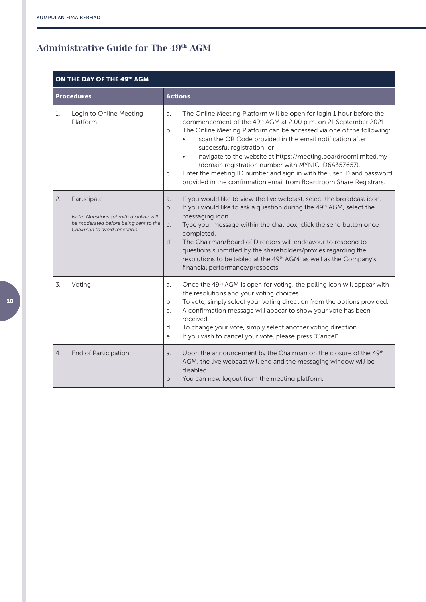# **Administrative Guide for The 49th AGM**

# ON THE DAY OF THE 49th AGM

|    | <b>Procedures</b>                                                                                                              | <b>Actions</b>                                                                                                                                                                                                                                                                                                                                                                                                                                                                                                                                                                                                      |
|----|--------------------------------------------------------------------------------------------------------------------------------|---------------------------------------------------------------------------------------------------------------------------------------------------------------------------------------------------------------------------------------------------------------------------------------------------------------------------------------------------------------------------------------------------------------------------------------------------------------------------------------------------------------------------------------------------------------------------------------------------------------------|
| 1. | Login to Online Meeting<br>Platform                                                                                            | The Online Meeting Platform will be open for login 1 hour before the<br>a.<br>commencement of the 49 <sup>th</sup> AGM at 2.00 p.m. on 21 September 2021.<br>The Online Meeting Platform can be accessed via one of the following:<br>b.<br>scan the QR Code provided in the email notification after<br>successful registration; or<br>navigate to the website at https://meeting.boardroomlimited.my<br>(domain registration number with MYNIC: D6A357657).<br>Enter the meeting ID number and sign in with the user ID and password<br>C.<br>provided in the confirmation email from Boardroom Share Registrars. |
| 2. | Participate<br>Note: Questions submitted online will<br>be moderated before being sent to the<br>Chairman to avoid repetition. | If you would like to view the live webcast, select the broadcast icon.<br>a.<br>If you would like to ask a question during the 49 <sup>th</sup> AGM, select the<br>b.<br>messaging icon.<br>Type your message within the chat box, click the send button once<br>C.<br>completed.<br>The Chairman/Board of Directors will endeavour to respond to<br>d.<br>questions submitted by the shareholders/proxies regarding the<br>resolutions to be tabled at the 49 <sup>th</sup> AGM, as well as the Company's<br>financial performance/prospects.                                                                      |
| 3. | Voting                                                                                                                         | Once the 49 <sup>th</sup> AGM is open for voting, the polling icon will appear with<br>a.<br>the resolutions and your voting choices.<br>To vote, simply select your voting direction from the options provided.<br>b.<br>A confirmation message will appear to show your vote has been<br>C.<br>received.<br>d.<br>To change your vote, simply select another voting direction.<br>If you wish to cancel your vote, please press "Cancel".<br>e.                                                                                                                                                                   |
| 4. | End of Participation                                                                                                           | Upon the announcement by the Chairman on the closure of the 49th<br>a.<br>AGM, the live webcast will end and the messaging window will be<br>disabled.<br>You can now logout from the meeting platform.<br>b.                                                                                                                                                                                                                                                                                                                                                                                                       |